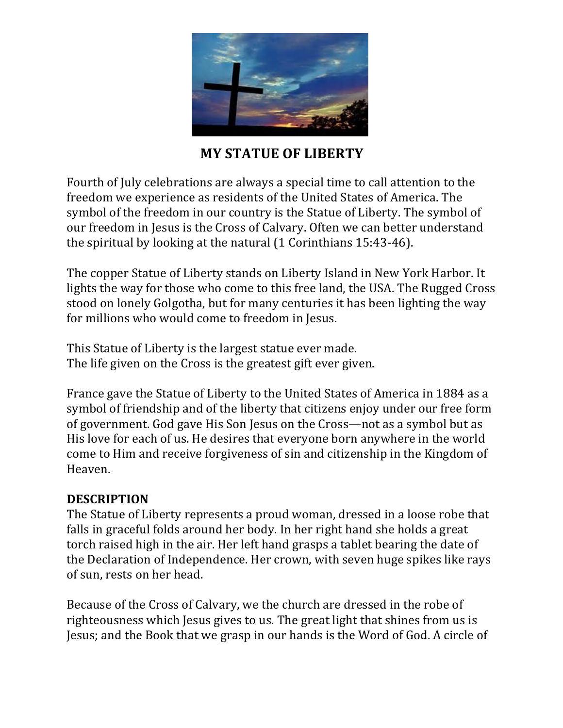

# **MY STATUE OF LIBERTY**

Fourth of July celebrations are always a special time to call attention to the freedom we experience as residents of the United States of America. The symbol of the freedom in our country is the Statue of Liberty. The symbol of our freedom in Jesus is the Cross of Calvary. Often we can better understand the spiritual by looking at the natural  $(1$  Corinthians  $15:43-46$ ).

The copper Statue of Liberty stands on Liberty Island in New York Harbor. It lights the way for those who come to this free land, the USA. The Rugged Cross stood on lonely Golgotha, but for many centuries it has been lighting the way for millions who would come to freedom in Jesus.

This Statue of Liberty is the largest statue ever made. The life given on the Cross is the greatest gift ever given.

France gave the Statue of Liberty to the United States of America in 1884 as a symbol of friendship and of the liberty that citizens enjoy under our free form of government. God gave His Son Jesus on the Cross—not as a symbol but as His love for each of us. He desires that everyone born anywhere in the world come to Him and receive forgiveness of sin and citizenship in the Kingdom of Heaven. 

### **DESCRIPTION**

The Statue of Liberty represents a proud woman, dressed in a loose robe that falls in graceful folds around her body. In her right hand she holds a great torch raised high in the air. Her left hand grasps a tablet bearing the date of the Declaration of Independence. Her crown, with seven huge spikes like rays of sun, rests on her head.

Because of the Cross of Calvary, we the church are dressed in the robe of righteousness which Jesus gives to us. The great light that shines from us is Jesus; and the Book that we grasp in our hands is the Word of God. A circle of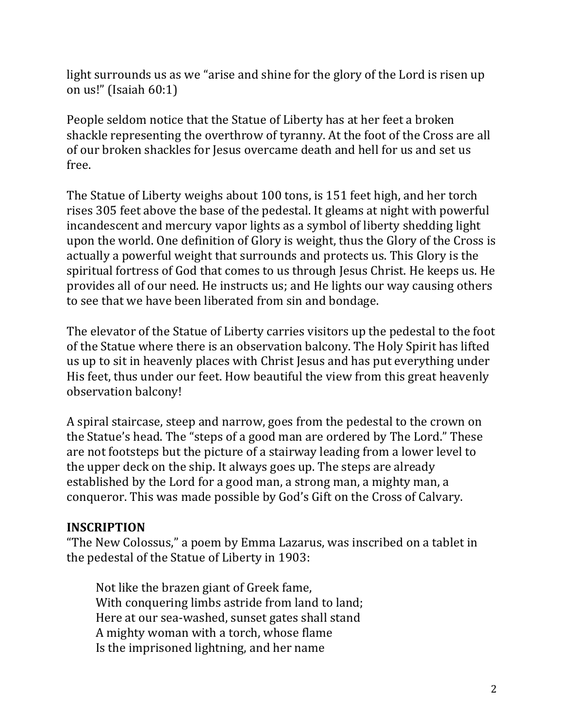light surrounds us as we "arise and shine for the glory of the Lord is risen up on us!" (Isaiah 60:1)

People seldom notice that the Statue of Liberty has at her feet a broken shackle representing the overthrow of tyranny. At the foot of the Cross are all of our broken shackles for Jesus overcame death and hell for us and set us free. 

The Statue of Liberty weighs about 100 tons, is 151 feet high, and her torch rises 305 feet above the base of the pedestal. It gleams at night with powerful incandescent and mercury vapor lights as a symbol of liberty shedding light upon the world. One definition of Glory is weight, thus the Glory of the Cross is actually a powerful weight that surrounds and protects us. This Glory is the spiritual fortress of God that comes to us through Jesus Christ. He keeps us. He provides all of our need. He instructs us; and He lights our way causing others to see that we have been liberated from sin and bondage.

The elevator of the Statue of Liberty carries visitors up the pedestal to the foot of the Statue where there is an observation balcony. The Holy Spirit has lifted us up to sit in heavenly places with Christ Jesus and has put everything under His feet, thus under our feet. How beautiful the view from this great heavenly observation balcony!

A spiral staircase, steep and narrow, goes from the pedestal to the crown on the Statue's head. The "steps of a good man are ordered by The Lord." These are not footsteps but the picture of a stairway leading from a lower level to the upper deck on the ship. It always goes up. The steps are already established by the Lord for a good man, a strong man, a mighty man, a conqueror. This was made possible by God's Gift on the Cross of Calvary.

### **INSCRIPTION**

"The New Colossus," a poem by Emma Lazarus, was inscribed on a tablet in the pedestal of the Statue of Liberty in 1903:

Not like the brazen giant of Greek fame, With conquering limbs astride from land to land; Here at our sea-washed, sunset gates shall stand A mighty woman with a torch, whose flame Is the imprisoned lightning, and her name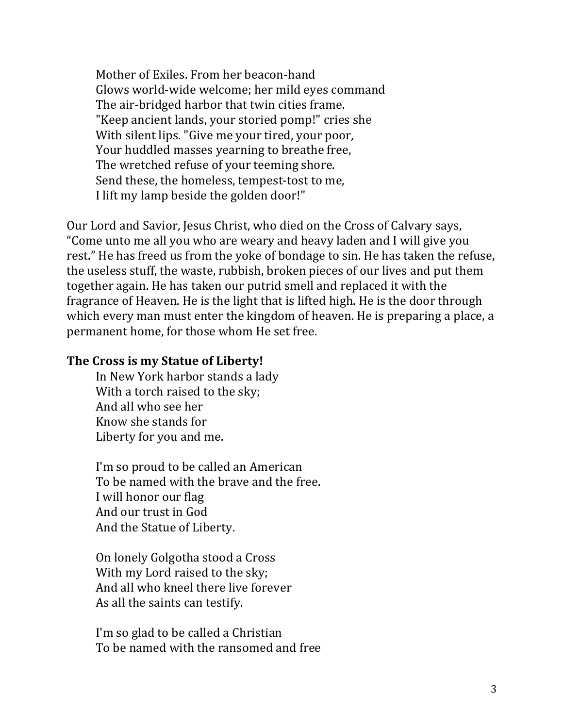Mother of Exiles. From her beacon-hand Glows world-wide welcome; her mild eyes command The air-bridged harbor that twin cities frame. "Keep ancient lands, your storied pomp!" cries she With silent lips. "Give me your tired, your poor, Your huddled masses yearning to breathe free, The wretched refuse of your teeming shore. Send these, the homeless, tempest-tost to me, I lift my lamp beside the golden door!"

Our Lord and Savior, Jesus Christ, who died on the Cross of Calvary says, "Come unto me all you who are weary and heavy laden and I will give you rest." He has freed us from the yoke of bondage to sin. He has taken the refuse, the useless stuff, the waste, rubbish, broken pieces of our lives and put them together again. He has taken our putrid smell and replaced it with the fragrance of Heaven. He is the light that is lifted high. He is the door through which every man must enter the kingdom of heaven. He is preparing a place, a permanent home, for those whom He set free.

#### **The Cross is my Statue of Liberty!**

In New York harbor stands a lady With a torch raised to the sky; And all who see her Know she stands for Liberty for you and me.

I'm so proud to be called an American To be named with the brave and the free. I will honor our flag And our trust in God And the Statue of Liberty.

On lonely Golgotha stood a Cross With my Lord raised to the sky: And all who kneel there live forever As all the saints can testify.

I'm so glad to be called a Christian To be named with the ransomed and free